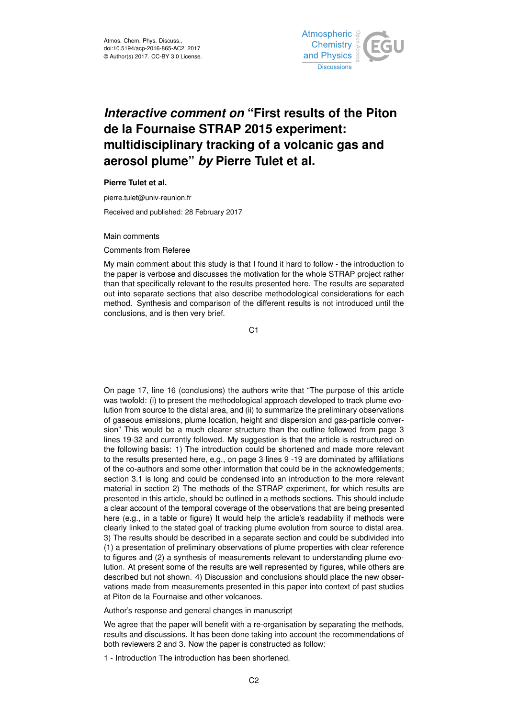

# *Interactive comment on* **"First results of the Piton de la Fournaise STRAP 2015 experiment: multidisciplinary tracking of a volcanic gas and aerosol plume"** *by* **Pierre Tulet et al.**

**Pierre Tulet et al.**

pierre.tulet@univ-reunion.fr

Received and published: 28 February 2017

Main comments

Comments from Referee

My main comment about this study is that I found it hard to follow - the introduction to the paper is verbose and discusses the motivation for the whole STRAP project rather than that specifically relevant to the results presented here. The results are separated out into separate sections that also describe methodological considerations for each method. Synthesis and comparison of the different results is not introduced until the conclusions, and is then very brief.

C<sub>1</sub>

On page 17, line 16 (conclusions) the authors write that "The purpose of this article was twofold: (i) to present the methodological approach developed to track plume evolution from source to the distal area, and (ii) to summarize the preliminary observations of gaseous emissions, plume location, height and dispersion and gas-particle conversion" This would be a much clearer structure than the outline followed from page 3 lines 19-32 and currently followed. My suggestion is that the article is restructured on the following basis: 1) The introduction could be shortened and made more relevant to the results presented here, e.g., on page 3 lines 9 -19 are dominated by affiliations of the co-authors and some other information that could be in the acknowledgements; section 3.1 is long and could be condensed into an introduction to the more relevant material in section 2) The methods of the STRAP experiment, for which results are presented in this article, should be outlined in a methods sections. This should include a clear account of the temporal coverage of the observations that are being presented here (e.g., in a table or figure) It would help the article's readability if methods were clearly linked to the stated goal of tracking plume evolution from source to distal area. 3) The results should be described in a separate section and could be subdivided into (1) a presentation of preliminary observations of plume properties with clear reference to figures and (2) a synthesis of measurements relevant to understanding plume evolution. At present some of the results are well represented by figures, while others are described but not shown. 4) Discussion and conclusions should place the new observations made from measurements presented in this paper into context of past studies at Piton de la Fournaise and other volcanoes.

Author's response and general changes in manuscript

We agree that the paper will benefit with a re-organisation by separating the methods, results and discussions. It has been done taking into account the recommendations of both reviewers 2 and 3. Now the paper is constructed as follow:

1 - Introduction The introduction has been shortened.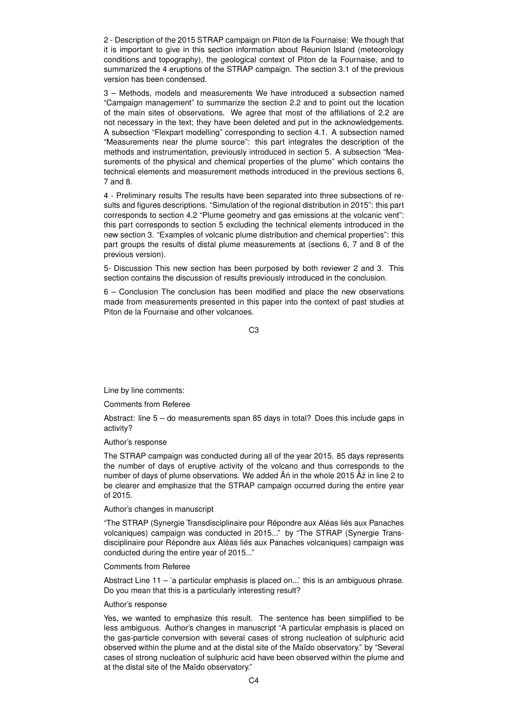2 - Description of the 2015 STRAP campaign on Piton de la Fournaise: We though that it is important to give in this section information about Reunion Island (meteorology conditions and topography), the geological context of Piton de la Fournaise, and to summarized the 4 eruptions of the STRAP campaign. The section 3.1 of the previous version has been condensed.

3 – Methods, models and measurements We have introduced a subsection named "Campaign management" to summarize the section 2.2 and to point out the location of the main sites of observations. We agree that most of the affiliations of 2.2 are not necessary in the text; they have been deleted and put in the acknowledgements. A subsection "Flexpart modelling" corresponding to section 4.1. A subsection named "Measurements near the plume source": this part integrates the description of the methods and instrumentation, previously introduced in section 5. A subsection "Measurements of the physical and chemical properties of the plume" which contains the technical elements and measurement methods introduced in the previous sections 6, 7 and 8.

4 - Preliminary results The results have been separated into three subsections of results and figures descriptions. "Simulation of the regional distribution in 2015": this part corresponds to section 4.2 "Plume geometry and gas emissions at the volcanic vent": this part corresponds to section 5 excluding the technical elements introduced in the new section 3. "Examples of volcanic plume distribution and chemical properties": this part groups the results of distal plume measurements at (sections 6, 7 and 8 of the previous version).

5- Discussion This new section has been purposed by both reviewer 2 and 3. This section contains the discussion of results previously introduced in the conclusion.

6 – Conclusion The conclusion has been modified and place the new observations made from measurements presented in this paper into the context of past studies at Piton de la Fournaise and other volcanoes.

C3

Line by line comments:

Comments from Referee

Abstract: line 5 – do measurements span 85 days in total? Does this include gaps in activity?

## Author's response

The STRAP campaign was conducted during all of the year 2015. 85 days represents the number of days of eruptive activity of the volcano and thus corresponds to the number of days of plume observations. We added  $\hat{A}$ n in the whole 2015  $\hat{A}$ z in line 2 to be clearer and emphasize that the STRAP campaign occurred during the entire year of 2015.

## Author's changes in manuscript

"The STRAP (Synergie Transdisciplinaire pour Répondre aux Aléas liés aux Panaches volcaniques) campaign was conducted in 2015..." by "The STRAP (Synergie Transdisciplinaire pour Répondre aux Aléas liés aux Panaches volcaniques) campaign was conducted during the entire year of 2015..."

## Comments from Referee

Abstract Line  $11 - 7a$  particular emphasis is placed on...' this is an ambiguous phrase. Do you mean that this is a particularly interesting result?

## Author's response

Yes, we wanted to emphasize this result. The sentence has been simplified to be less ambiguous. Author's changes in manuscript "A particular emphasis is placed on the gas-particle conversion with several cases of strong nucleation of sulphuric acid observed within the plume and at the distal site of the Maïdo observatory." by "Several cases of strong nucleation of sulphuric acid have been observed within the plume and at the distal site of the Maïdo observatory."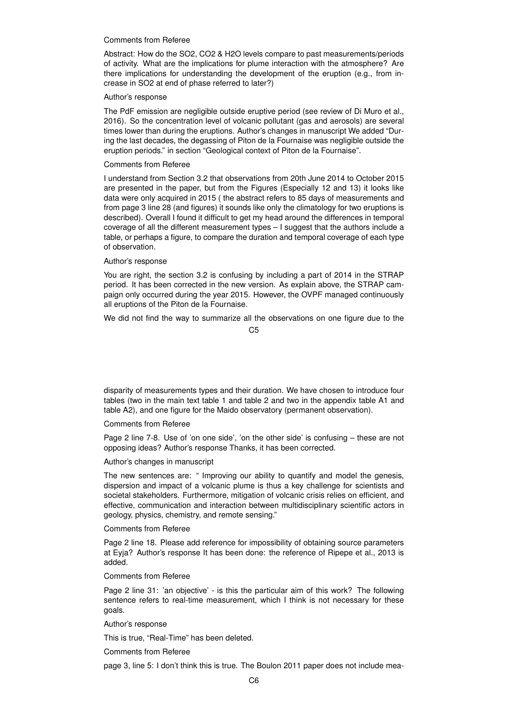## Comments from Referee

Abstract: How do the SO2, CO2 & H2O levels compare to past measurements/periods of activity. What are the implications for plume interaction with the atmosphere? Are there implications for understanding the development of the eruption (e.g., from increase in SO2 at end of phase referred to later?)

## Author's response

The PdF emission are negligible outside eruptive period (see review of Di Muro et al., 2016). So the concentration level of volcanic pollutant (gas and aerosols) are several times lower than during the eruptions. Author's changes in manuscript We added "During the last decades, the degassing of Piton de la Fournaise was negligible outside the eruption periods." in section "Geological context of Piton de la Fournaise".

# Comments from Referee

I understand from Section 3.2 that observations from 20th June 2014 to October 2015 are presented in the paper, but from the Figures (Especially 12 and 13) it looks like data were only acquired in 2015 ( the abstract refers to 85 days of measurements and from page 3 line 28 (and figures) it sounds like only the climatology for two eruptions is described). Overall I found it difficult to get my head around the differences in temporal coverage of all the different measurement types – I suggest that the authors include a table, or perhaps a figure, to compare the duration and temporal coverage of each type of observation.

#### Author's response

You are right, the section 3.2 is confusing by including a part of 2014 in the STRAP period. It has been corrected in the new version. As explain above, the STRAP campaign only occurred during the year 2015. However, the OVPF managed continuously all eruptions of the Piton de la Fournaise.

We did not find the way to summarize all the observations on one figure due to the

C5

disparity of measurements types and their duration. We have chosen to introduce four tables (two in the main text table 1 and table 2 and two in the appendix table A1 and table A2), and one figure for the Maido observatory (permanent observation).

Comments from Referee

Page 2 line 7-8. Use of 'on one side', 'on the other side' is confusing – these are not opposing ideas? Author's response Thanks, it has been corrected.

#### Author's changes in manuscript

The new sentences are: " Improving our ability to quantify and model the genesis, dispersion and impact of a volcanic plume is thus a key challenge for scientists and societal stakeholders. Furthermore, mitigation of volcanic crisis relies on efficient, and effective, communication and interaction between multidisciplinary scientific actors in geology, physics, chemistry, and remote sensing."

#### Comments from Referee

Page 2 line 18. Please add reference for impossibility of obtaining source parameters at Eyja? Author's response It has been done: the reference of Ripepe et al., 2013 is added.

## Comments from Referee

Page 2 line 31: 'an objective' - is this the particular aim of this work? The following sentence refers to real-time measurement, which I think is not necessary for these goals.

#### Author's response

This is true, "Real-Time" has been deleted.

Comments from Referee

page 3, line 5: I don't think this is true. The Boulon 2011 paper does not include mea-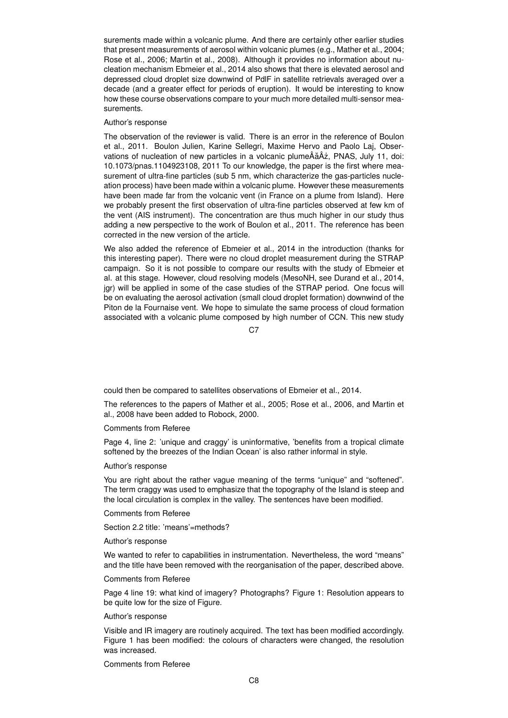surements made within a volcanic plume. And there are certainly other earlier studies that present measurements of aerosol within volcanic plumes (e.g., Mather et al., 2004; Rose et al., 2006; Martin et al., 2008). Although it provides no information about nucleation mechanism Ebmeier et al., 2014 also shows that there is elevated aerosol and depressed cloud droplet size downwind of PdlF in satellite retrievals averaged over a decade (and a greater effect for periods of eruption). It would be interesting to know how these course observations compare to your much more detailed multi-sensor measurements.

#### Author's response

The observation of the reviewer is valid. There is an error in the reference of Boulon et al., 2011. Boulon Julien, Karine Sellegri, Maxime Hervo and Paolo Laj, Observations of nucleation of new particles in a volcanic plumeÂăÂ $\dot{a}$ , PNAS, July 11, doi: 10.1073/pnas.1104923108, 2011 To our knowledge, the paper is the first where measurement of ultra-fine particles (sub 5 nm, which characterize the gas-particles nucleation process) have been made within a volcanic plume. However these measurements have been made far from the volcanic vent (in France on a plume from Island). Here we probably present the first observation of ultra-fine particles observed at few km of the vent (AIS instrument). The concentration are thus much higher in our study thus adding a new perspective to the work of Boulon et al., 2011. The reference has been corrected in the new version of the article.

We also added the reference of Ebmeier et al., 2014 in the introduction (thanks for this interesting paper). There were no cloud droplet measurement during the STRAP campaign. So it is not possible to compare our results with the study of Ebmeier et al. at this stage. However, cloud resolving models (MesoNH, see Durand et al., 2014, jgr) will be applied in some of the case studies of the STRAP period. One focus will be on evaluating the aerosol activation (small cloud droplet formation) downwind of the Piton de la Fournaise vent. We hope to simulate the same process of cloud formation associated with a volcanic plume composed by high number of CCN. This new study

 $C.7$ 

could then be compared to satellites observations of Ebmeier et al., 2014.

The references to the papers of Mather et al., 2005; Rose et al., 2006, and Martin et al., 2008 have been added to Robock, 2000.

#### Comments from Referee

Page 4, line 2: 'unique and craggy' is uninformative, 'benefits from a tropical climate softened by the breezes of the Indian Ocean' is also rather informal in style.

## Author's response

You are right about the rather vague meaning of the terms "unique" and "softened". The term craggy was used to emphasize that the topography of the Island is steep and the local circulation is complex in the valley. The sentences have been modified.

Comments from Referee

Section 2.2 title: 'means'=methods?

#### Author's response

We wanted to refer to capabilities in instrumentation. Nevertheless, the word "means" and the title have been removed with the reorganisation of the paper, described above.

#### Comments from Referee

Page 4 line 19: what kind of imagery? Photographs? Figure 1: Resolution appears to be quite low for the size of Figure.

#### Author's response

Visible and IR imagery are routinely acquired. The text has been modified accordingly. Figure 1 has been modified: the colours of characters were changed, the resolution was increased.

Comments from Referee